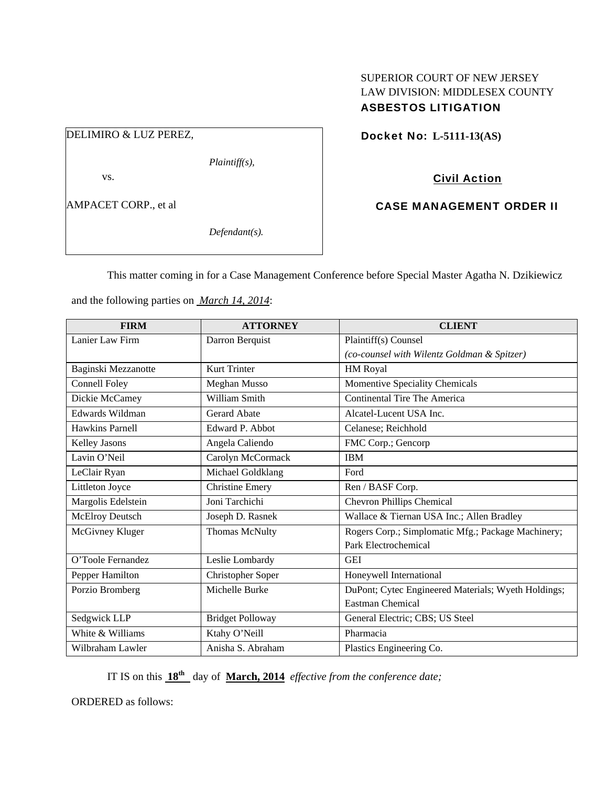## SUPERIOR COURT OF NEW JERSEY LAW DIVISION: MIDDLESEX COUNTY ASBESTOS LITIGATION

DELIMIRO & LUZ PEREZ,

*Plaintiff(s),* 

vs.

AMPACET CORP., et al

*Defendant(s).* 

Docket No: **L-5111-13(AS)** 

Civil Action

CASE MANAGEMENT ORDER II

This matter coming in for a Case Management Conference before Special Master Agatha N. Dzikiewicz

| <b>FIRM</b>          | <b>ATTORNEY</b>          | <b>CLIENT</b>                                       |
|----------------------|--------------------------|-----------------------------------------------------|
| Lanier Law Firm      | Darron Berquist          | Plaintiff(s) Counsel                                |
|                      |                          | (co-counsel with Wilentz Goldman & Spitzer)         |
| Baginski Mezzanotte  | <b>Kurt Trinter</b>      | HM Royal                                            |
| <b>Connell Foley</b> | Meghan Musso             | Momentive Speciality Chemicals                      |
| Dickie McCamey       | William Smith            | Continental Tire The America                        |
| Edwards Wildman      | <b>Gerard Abate</b>      | Alcatel-Lucent USA Inc.                             |
| Hawkins Parnell      | Edward P. Abbot          | Celanese; Reichhold                                 |
| <b>Kelley Jasons</b> | Angela Caliendo          | FMC Corp.; Gencorp                                  |
| Lavin O'Neil         | Carolyn McCormack        | <b>IBM</b>                                          |
| LeClair Ryan         | Michael Goldklang        | Ford                                                |
| Littleton Joyce      | <b>Christine Emery</b>   | Ren / BASF Corp.                                    |
| Margolis Edelstein   | Joni Tarchichi           | <b>Chevron Phillips Chemical</b>                    |
| McElroy Deutsch      | Joseph D. Rasnek         | Wallace & Tiernan USA Inc.; Allen Bradley           |
| McGivney Kluger      | <b>Thomas McNulty</b>    | Rogers Corp.; Simplomatic Mfg.; Package Machinery;  |
|                      |                          | Park Electrochemical                                |
| O'Toole Fernandez    | Leslie Lombardy          | <b>GEI</b>                                          |
| Pepper Hamilton      | <b>Christopher Soper</b> | Honeywell International                             |
| Porzio Bromberg      | Michelle Burke           | DuPont; Cytec Engineered Materials; Wyeth Holdings; |
|                      |                          | <b>Eastman Chemical</b>                             |
| Sedgwick LLP         | <b>Bridget Polloway</b>  | General Electric; CBS; US Steel                     |
| White & Williams     | Ktahy O'Neill            | Pharmacia                                           |
| Wilbraham Lawler     | Anisha S. Abraham        | Plastics Engineering Co.                            |

and the following parties on *March 14, 2014*:

IT IS on this **18th** day of **March, 2014** *effective from the conference date;*

ORDERED as follows: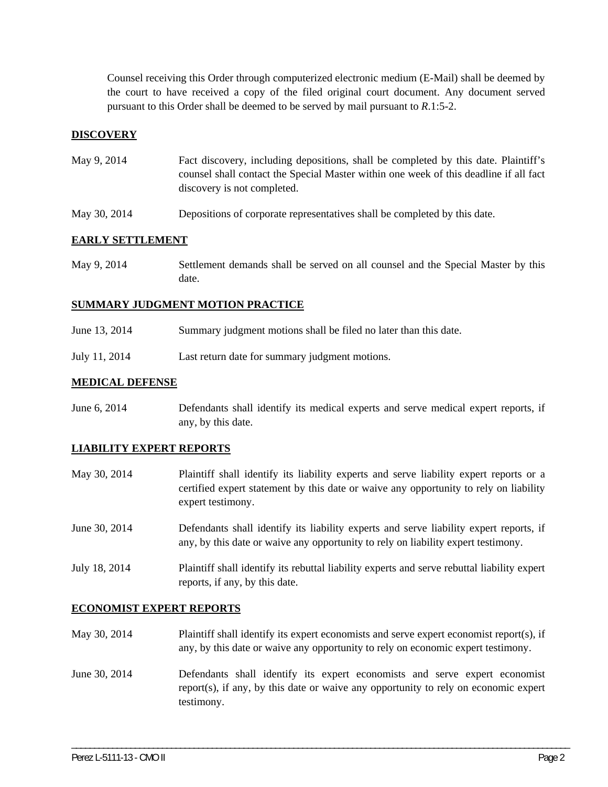Counsel receiving this Order through computerized electronic medium (E-Mail) shall be deemed by the court to have received a copy of the filed original court document. Any document served pursuant to this Order shall be deemed to be served by mail pursuant to *R*.1:5-2.

### **DISCOVERY**

- May 9, 2014 Fact discovery, including depositions, shall be completed by this date. Plaintiff's counsel shall contact the Special Master within one week of this deadline if all fact discovery is not completed.
- May 30, 2014 Depositions of corporate representatives shall be completed by this date.

### **EARLY SETTLEMENT**

May 9, 2014 Settlement demands shall be served on all counsel and the Special Master by this date.

#### **SUMMARY JUDGMENT MOTION PRACTICE**

| June 13, 2014 | Summary judgment motions shall be filed no later than this date. |
|---------------|------------------------------------------------------------------|
| July 11, 2014 | Last return date for summary judgment motions.                   |

### **MEDICAL DEFENSE**

June 6, 2014 Defendants shall identify its medical experts and serve medical expert reports, if any, by this date.

### **LIABILITY EXPERT REPORTS**

| May 30, 2014  | Plaintiff shall identify its liability experts and serve liability expert reports or a<br>certified expert statement by this date or waive any opportunity to rely on liability<br>expert testimony. |
|---------------|------------------------------------------------------------------------------------------------------------------------------------------------------------------------------------------------------|
| June 30, 2014 | Defendants shall identify its liability experts and serve liability expert reports, if<br>any, by this date or waive any opportunity to rely on liability expert testimony.                          |
| July 18, 2014 | Plaintiff shall identify its rebuttal liability experts and serve rebuttal liability expert<br>reports, if any, by this date.                                                                        |

#### **ECONOMIST EXPERT REPORTS**

- May 30, 2014 Plaintiff shall identify its expert economists and serve expert economist report(s), if any, by this date or waive any opportunity to rely on economic expert testimony.
- June 30, 2014 Defendants shall identify its expert economists and serve expert economist report(s), if any, by this date or waive any opportunity to rely on economic expert testimony.

\_\_\_\_\_\_\_\_\_\_\_\_\_\_\_\_\_\_\_\_\_\_\_\_\_\_\_\_\_\_\_\_\_\_\_\_\_\_\_\_\_\_\_\_\_\_\_\_\_\_\_\_\_\_\_\_\_\_\_\_\_\_\_\_\_\_\_\_\_\_\_\_\_\_\_\_\_\_\_\_\_\_\_\_\_\_\_\_\_\_\_\_\_\_\_\_\_\_\_\_\_\_\_\_\_\_\_\_\_\_